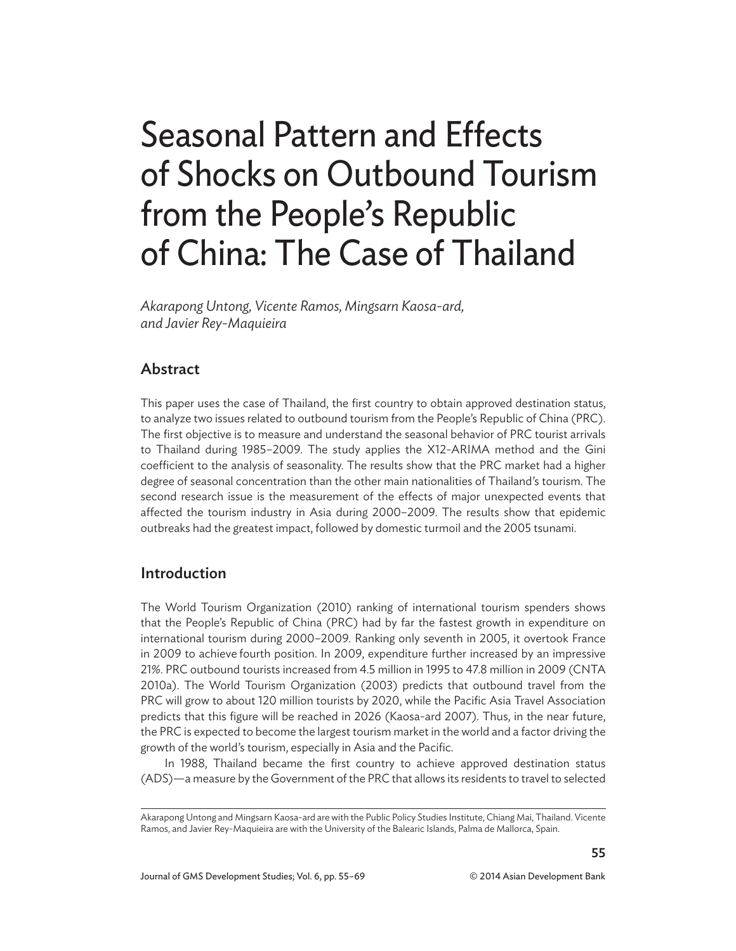# Seasonal Pattern and Effects of Shocks on Outbound Tourism from the People's Republic of China: The Case of Thailand

*Akarapong Untong, Vicente Ramos, Mingsarn Kaosa-ard, and Javier Rey-Maquieira*

# **Abstract**

This paper uses the case of Thailand, the first country to obtain approved destination status, to analyze two issues related to outbound tourism from the People's Republic of China (PRC). The first objective is to measure and understand the seasonal behavior of PRC tourist arrivals to Thailand during 1985–2009. The study applies the X12-ARIMA method and the Gini coefficient to the analysis of seasonality. The results show that the PRC market had a higher degree of seasonal concentration than the other main nationalities of Thailand's tourism. The second research issue is the measurement of the effects of major unexpected events that affected the tourism industry in Asia during 2000–2009. The results show that epidemic outbreaks had the greatest impact, followed by domestic turmoil and the 2005 tsunami.

## Introduction

The World Tourism Organization (2010) ranking of international tourism spenders shows that the People's Republic of China (PRC) had by far the fastest growth in expenditure on international tourism during 2000–2009. Ranking only seventh in 2005, it overtook France in 2009 to achieve fourth position. In 2009, expenditure further increased by an impressive 21%. PRC outbound tourists increased from 4.5 million in 1995 to 47.8 million in 2009 (CNTA 2010a). The World Tourism Organization (2003) predicts that outbound travel from the PRC will grow to about 120 million tourists by 2020, while the Pacific Asia Travel Association predicts that this figure will be reached in 2026 (Kaosa-ard 2007). Thus, in the near future, the PRC is expected to become the largest tourism market in the world and a factor driving the growth of the world's tourism, especially in Asia and the Pacific.

In 1988, Thailand became the first country to achieve approved destination status (ADS)—a measure by the Government of the PRC that allows its residents to travel to selected

Akarapong Untong and Mingsarn Kaosa-ard are with the Public Policy Studies Institute, Chiang Mai, Thailand. Vicente Ramos, and Javier Rey-Maquieira are with the University of the Balearic Islands, Palma de Mallorca, Spain.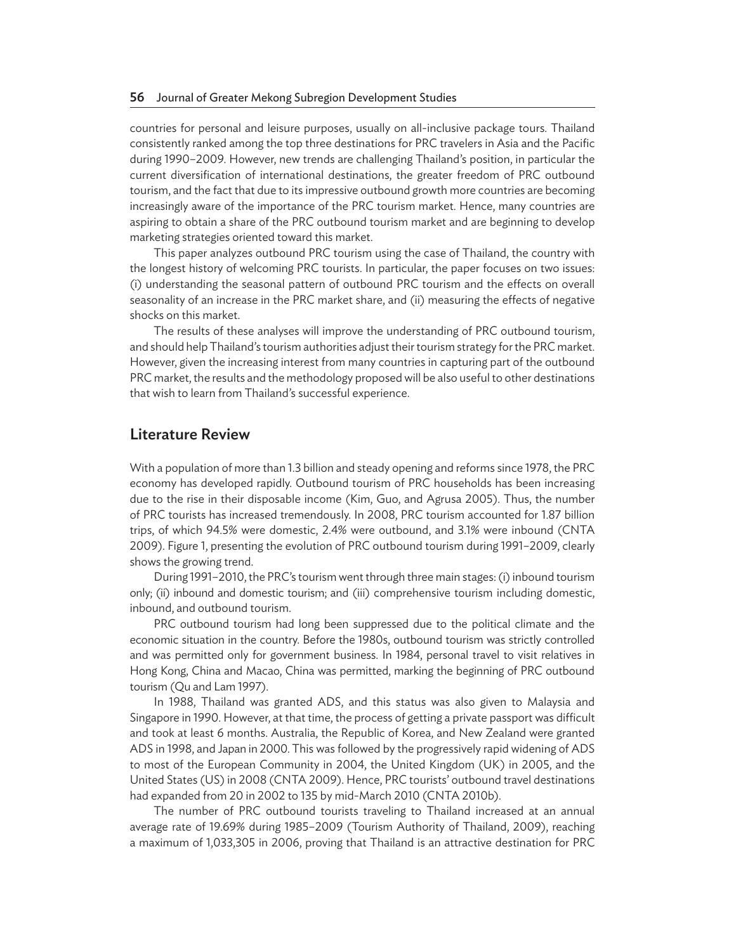countries for personal and leisure purposes, usually on all-inclusive package tours. Thailand consistently ranked among the top three destinations for PRC travelers in Asia and the Pacific during 1990–2009. However, new trends are challenging Thailand's position, in particular the current diversification of international destinations, the greater freedom of PRC outbound tourism, and the fact that due to its impressive outbound growth more countries are becoming increasingly aware of the importance of the PRC tourism market. Hence, many countries are aspiring to obtain a share of the PRC outbound tourism market and are beginning to develop marketing strategies oriented toward this market.

This paper analyzes outbound PRC tourism using the case of Thailand, the country with the longest history of welcoming PRC tourists. In particular, the paper focuses on two issues: (i) understanding the seasonal pattern of outbound PRC tourism and the effects on overall seasonality of an increase in the PRC market share, and (ii) measuring the effects of negative shocks on this market.

The results of these analyses will improve the understanding of PRC outbound tourism, and should help Thailand's tourism authorities adjust their tourism strategy for the PRC market. However, given the increasing interest from many countries in capturing part of the outbound PRC market, the results and the methodology proposed will be also useful to other destinations that wish to learn from Thailand's successful experience.

## Literature Review

With a population of more than 1.3 billion and steady opening and reforms since 1978, the PRC economy has developed rapidly. Outbound tourism of PRC households has been increasing due to the rise in their disposable income (Kim, Guo, and Agrusa 2005). Thus, the number of PRC tourists has increased tremendously. In 2008, PRC tourism accounted for 1.87 billion trips, of which 94.5% were domestic, 2.4% were outbound, and 3.1% were inbound (CNTA 2009). Figure 1, presenting the evolution of PRC outbound tourism during 1991–2009, clearly shows the growing trend.

During 1991–2010, the PRC's tourism went through three main stages: (i) inbound tourism only; (ii) inbound and domestic tourism; and (iii) comprehensive tourism including domestic, inbound, and outbound tourism.

PRC outbound tourism had long been suppressed due to the political climate and the economic situation in the country. Before the 1980s, outbound tourism was strictly controlled and was permitted only for government business. In 1984, personal travel to visit relatives in Hong Kong, China and Macao, China was permitted, marking the beginning of PRC outbound tourism (Qu and Lam 1997).

In 1988, Thailand was granted ADS, and this status was also given to Malaysia and Singapore in 1990. However, at that time, the process of getting a private passport was difficult and took at least 6 months. Australia, the Republic of Korea, and New Zealand were granted ADS in 1998, and Japan in 2000. This was followed by the progressively rapid widening of ADS to most of the European Community in 2004, the United Kingdom (UK) in 2005, and the United States (US) in 2008 (CNTA 2009). Hence, PRC tourists' outbound travel destinations had expanded from 20 in 2002 to 135 by mid-March 2010 (CNTA 2010b).

The number of PRC outbound tourists traveling to Thailand increased at an annual average rate of 19.69% during 1985–2009 (Tourism Authority of Thailand, 2009), reaching a maximum of 1,033,305 in 2006, proving that Thailand is an attractive destination for PRC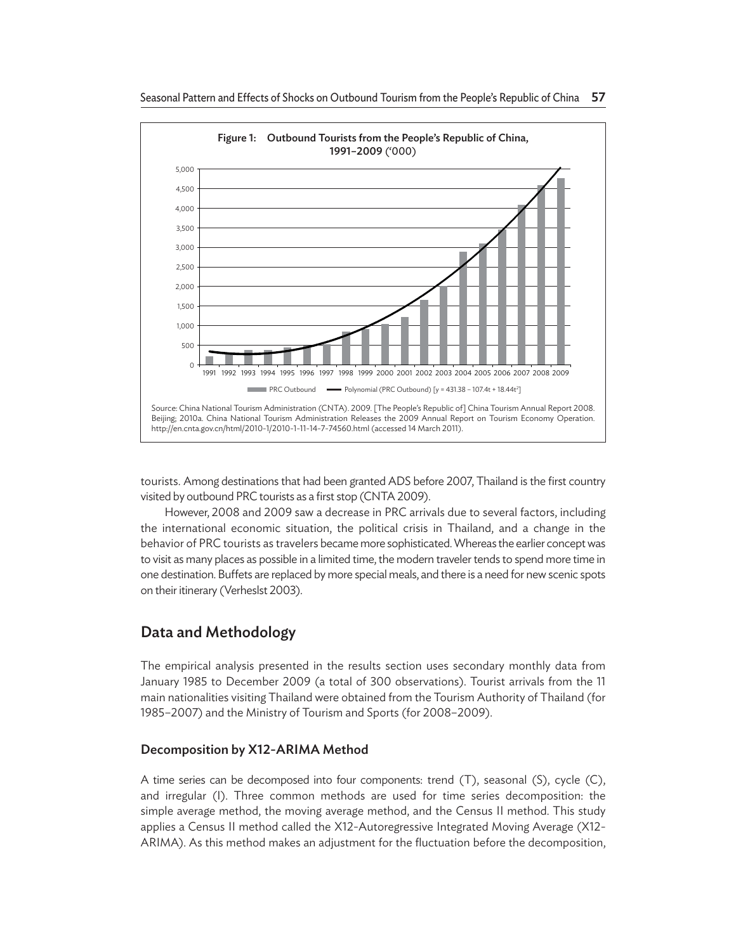

tourists. Among destinations that had been granted ADS before 2007, Thailand is the first country visited by outbound PRC tourists as a first stop (CNTA 2009).

However, 2008 and 2009 saw a decrease in PRC arrivals due to several factors, including the international economic situation, the political crisis in Thailand, and a change in the behavior of PRC tourists as travelers became more sophisticated. Whereas the earlier concept was to visit as many places as possible in a limited time, the modern traveler tends to spend more time in one destination. Buffets are replaced by more special meals, and there is a need for new scenic spots on their itinerary (Verheslst 2003).

# Data and Methodology

The empirical analysis presented in the results section uses secondary monthly data from January 1985 to December 2009 (a total of 300 observations). Tourist arrivals from the 11 main nationalities visiting Thailand were obtained from the Tourism Authority of Thailand (for 1985–2007) and the Ministry of Tourism and Sports (for 2008–2009).

## Decomposition by X12-ARIMA Method

A time series can be decomposed into four components: trend (T), seasonal (S), cycle (C), and irregular (I). Three common methods are used for time series decomposition: the simple average method, the moving average method, and the Census II method. This study applies a Census II method called the X12-Autoregressive Integrated Moving Average (X12- ARIMA). As this method makes an adjustment for the fluctuation before the decomposition,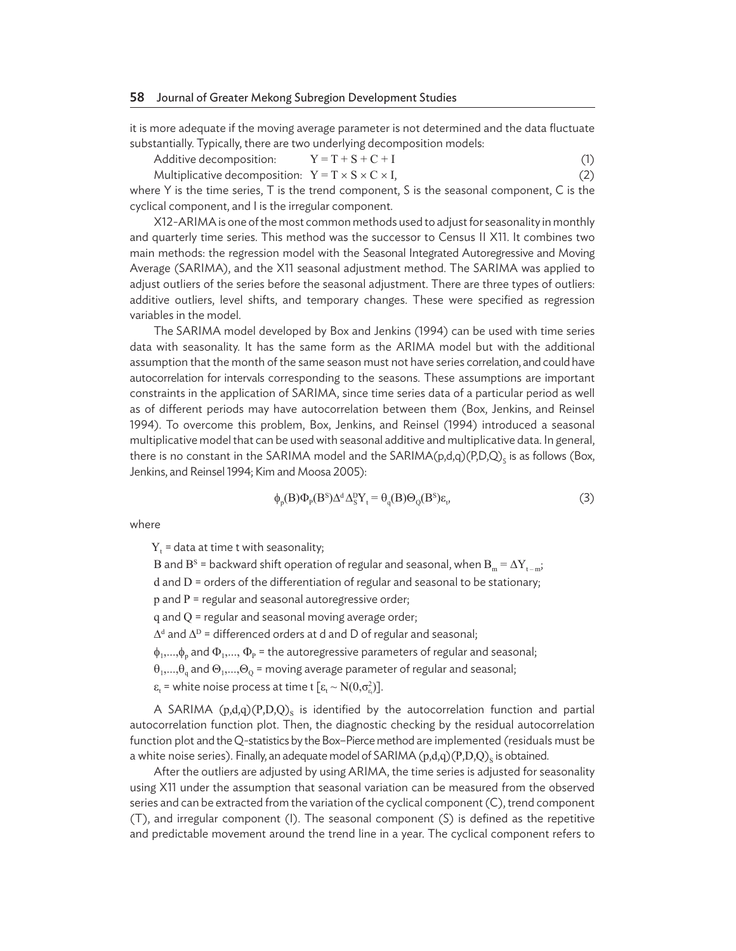it is more adequate if the moving average parameter is not determined and the data fluctuate substantially. Typically, there are two underlying decomposition models:

Additive decomposition: 
$$
Y = T + S + C + I
$$
 (1)

Multiplicative decomposition:  $Y = T \times S \times C \times I$ , (2)

where Y is the time series, T is the trend component, S is the seasonal component, C is the cyclical component, and I is the irregular component.

X12-ARIMA is one of the most common methods used to adjust for seasonality in monthly and quarterly time series. This method was the successor to Census II X11. It combines two main methods: the regression model with the Seasonal Integrated Autoregressive and Moving Average (SARIMA), and the X11 seasonal adjustment method. The SARIMA was applied to adjust outliers of the series before the seasonal adjustment. There are three types of outliers: additive outliers, level shifts, and temporary changes. These were specified as regression variables in the model.

The SARIMA model developed by Box and Jenkins (1994) can be used with time series data with seasonality. It has the same form as the ARIMA model but with the additional assumption that the month of the same season must not have series correlation, and could have autocorrelation for intervals corresponding to the seasons. These assumptions are important constraints in the application of SARIMA, since time series data of a particular period as well as of different periods may have autocorrelation between them (Box, Jenkins, and Reinsel 1994). To overcome this problem, Box, Jenkins, and Reinsel (1994) introduced a seasonal multiplicative model that can be used with seasonal additive and multiplicative data. In general, there is no constant in the SARIMA model and the SARIMA(p,d,q)(P,D,Q)<sub>s</sub> is as follows (Box, Jenkins, and Reinsel 1994; Kim and Moosa 2005):

$$
\phi_p(B)\Phi_p(B^s)\Delta^d\Delta_S^D Y_t = \theta_q(B)\Theta_Q(B^s)\varepsilon_t, \tag{3}
$$

where

 $Y_t$  = data at time t with seasonality;

B and  $B^s$  = backward shift operation of regular and seasonal, when  $B_m = \Delta Y_{t-m}$ ;

d and D = orders of the differentiation of regular and seasonal to be stationary;

p and P = regular and seasonal autoregressive order;

q and Q = regular and seasonal moving average order;

 $\Delta^d$  and  $\Delta^D$  = differenced orders at d and D of regular and seasonal;

 $\phi_1,...,\phi_n$  and  $\Phi_1,...,\Phi_p$  = the autoregressive parameters of regular and seasonal;

 $\theta_1,...,\theta_a$  and  $\Theta_1,...,\Theta_o$  = moving average parameter of regular and seasonal;

 $\varepsilon_{t}$  = white noise process at time t  $[\varepsilon_{t} \sim N(0,\sigma_{\varepsilon_{t}}^{2})]$ .

A SARIMA  $(p,d,q)(P,D,Q)$  is identified by the autocorrelation function and partial autocorrelation function plot. Then, the diagnostic checking by the residual autocorrelation function plot and the Q-statistics by the Box–Pierce method are implemented (residuals must be a white noise series). Finally, an adequate model of SARIMA  $(p,d,q)(P,D,Q)_{\rm S}$  is obtained.

After the outliers are adjusted by using ARIMA, the time series is adjusted for seasonality using X11 under the assumption that seasonal variation can be measured from the observed series and can be extracted from the variation of the cyclical component (C), trend component (T), and irregular component (I). The seasonal component (S) is defined as the repetitive and predictable movement around the trend line in a year. The cyclical component refers to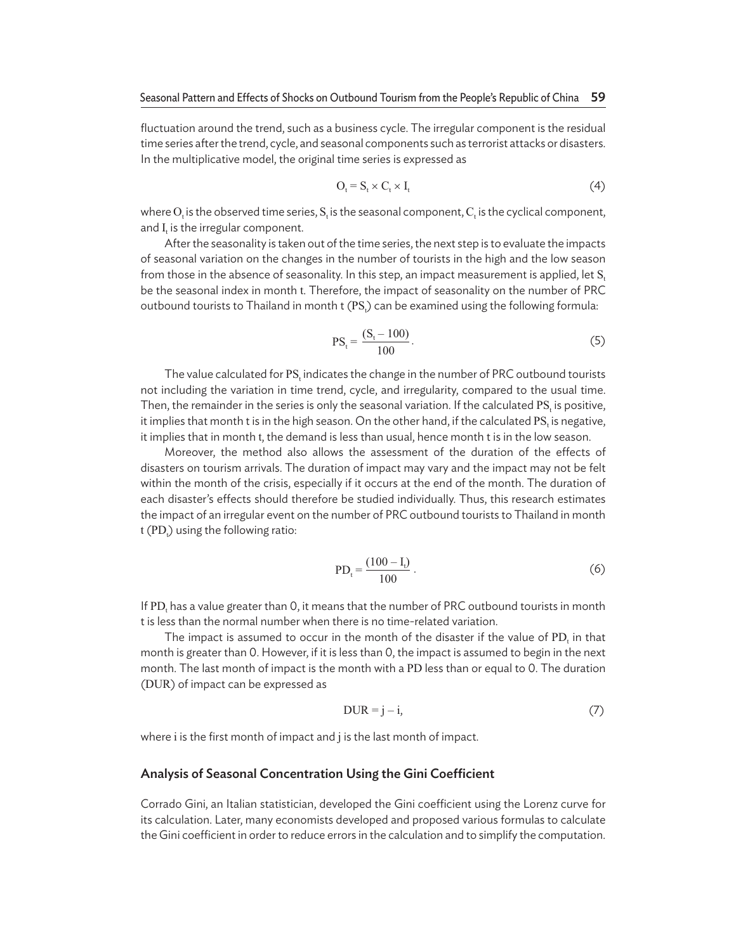fluctuation around the trend, such as a business cycle. The irregular component is the residual time series after the trend, cycle, and seasonal components such as terrorist attacks or disasters. In the multiplicative model, the original time series is expressed as

$$
O_t = S_t \times C_t \times I_t \tag{4}
$$

where  $O_t$  is the observed time series,  $S_t$  is the seasonal component,  $C_t$  is the cyclical component, and  $I_t$  is the irregular component.

After the seasonality is taken out of the time series, the next step is to evaluate the impacts of seasonal variation on the changes in the number of tourists in the high and the low season from those in the absence of seasonality. In this step, an impact measurement is applied, let S. be the seasonal index in month t. Therefore, the impact of seasonality on the number of PRC outbound tourists to Thailand in month t (PS<sub>t</sub>) can be examined using the following formula:

$$
PS_t = \frac{(S_t - 100)}{100}.
$$
 (5)

The value calculated for PS<sub>t</sub> indicates the change in the number of PRC outbound tourists not including the variation in time trend, cycle, and irregularity, compared to the usual time. Then, the remainder in the series is only the seasonal variation. If the calculated  $PS<sub>t</sub>$  is positive, it implies that month t is in the high season. On the other hand, if the calculated  $PS_{t}$  is negative, it implies that in month t, the demand is less than usual, hence month t is in the low season.

Moreover, the method also allows the assessment of the duration of the effects of disasters on tourism arrivals. The duration of impact may vary and the impact may not be felt within the month of the crisis, especially if it occurs at the end of the month. The duration of each disaster's effects should therefore be studied individually. Thus, this research estimates the impact of an irregular event on the number of PRC outbound tourists to Thailand in month t (PD<sub>t</sub>) using the following ratio:

$$
PD_t = \frac{(100 - I_t)}{100} \,. \tag{6}
$$

If PD<sub>t</sub> has a value greater than 0, it means that the number of PRC outbound tourists in month t is less than the normal number when there is no time-related variation.

The impact is assumed to occur in the month of the disaster if the value of  $PD_t$  in that month is greater than 0. However, if it is less than 0, the impact is assumed to begin in the next month. The last month of impact is the month with a PD less than or equal to 0. The duration (DUR) of impact can be expressed as

$$
DUR = j - i,\t\t(7)
$$

where i is the first month of impact and j is the last month of impact.

#### Analysis of Seasonal Concentration Using the Gini Coefficient

Corrado Gini, an Italian statistician, developed the Gini coefficient using the Lorenz curve for its calculation. Later, many economists developed and proposed various formulas to calculate the Gini coefficient in order to reduce errors in the calculation and to simplify the computation.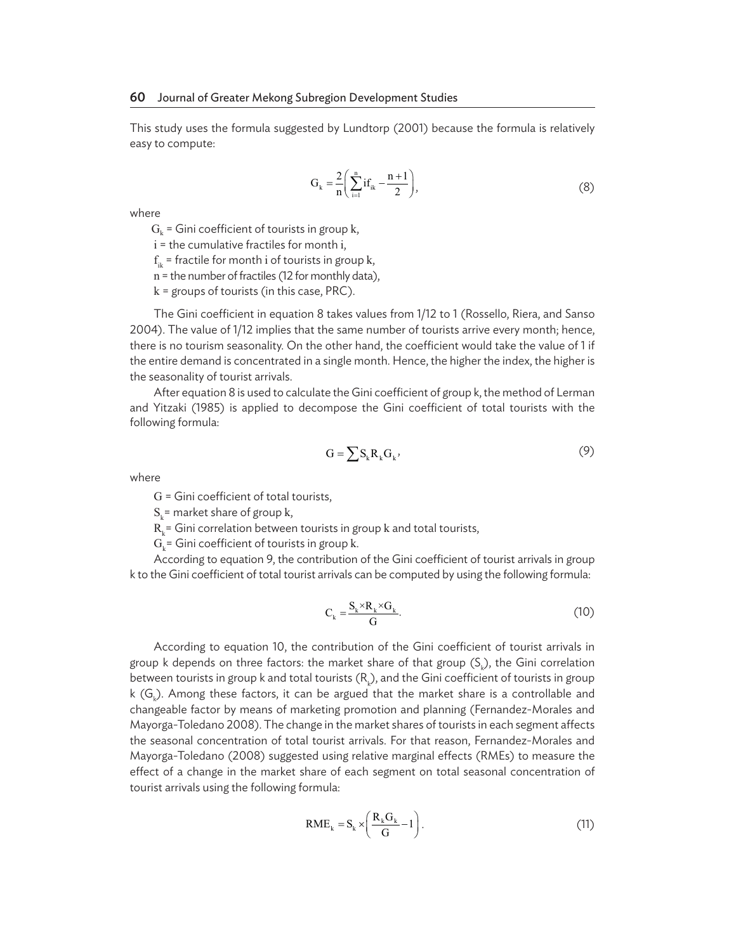This study uses the formula suggested by Lundtorp (2001) because the formula is relatively easy to compute:

$$
G_k = \frac{2}{n} \left( \sum_{i=1}^n if_{ik} - \frac{n+1}{2} \right),
$$
 (8)

where

 $G_k$  = Gini coefficient of tourists in group k,

 $i =$  the cumulative fractiles for month i,

 $f_{ik}$  = fractile for month i of tourists in group k,

n = the number of fractiles (12 for monthly data),

 $k =$  groups of tourists (in this case, PRC).

The Gini coefficient in equation 8 takes values from 1/12 to 1 (Rossello, Riera, and Sanso 2004). The value of 1/12 implies that the same number of tourists arrive every month; hence, there is no tourism seasonality. On the other hand, the coefficient would take the value of 1 if the entire demand is concentrated in a single month. Hence, the higher the index, the higher is the seasonality of tourist arrivals.

After equation 8 is used to calculate the Gini coefficient of group k, the method of Lerman and Yitzaki (1985) is applied to decompose the Gini coefficient of total tourists with the following formula:

$$
G = \sum S_k R_k G_k,\tag{9}
$$

where

G = Gini coefficient of total tourists,

 $S_k$ = market share of group k,

 $R<sub>k</sub>$ = Gini correlation between tourists in group  $k$  and total tourists,

 $G_k$ = Gini coefficient of tourists in group k.

According to equation 9, the contribution of the Gini coefficient of tourist arrivals in group k to the Gini coefficient of total tourist arrivals can be computed by using the following formula:

$$
C_{k} = \frac{S_{k} \times R_{k} \times G_{k}}{G}.
$$
 (10)

According to equation 10, the contribution of the Gini coefficient of tourist arrivals in group k depends on three factors: the market share of that group (S<sub>k</sub>), the Gini correlation between tourists in group k and total tourists ( $\mathsf{R}_{\wp}$ ), and the Gini coefficient of tourists in group k (G<sub>k</sub>). Among these factors, it can be argued that the market share is a controllable and changeable factor by means of marketing promotion and planning (Fernandez-Morales and Mayorga-Toledano 2008). The change in the market shares of tourists in each segment affects the seasonal concentration of total tourist arrivals. For that reason, Fernandez-Morales and Mayorga-Toledano (2008) suggested using relative marginal effects (RMEs) to measure the effect of a change in the market share of each segment on total seasonal concentration of tourist arrivals using the following formula:

$$
RME_{k} = S_{k} \times \left(\frac{R_{k}G_{k}}{G} - 1\right). \tag{11}
$$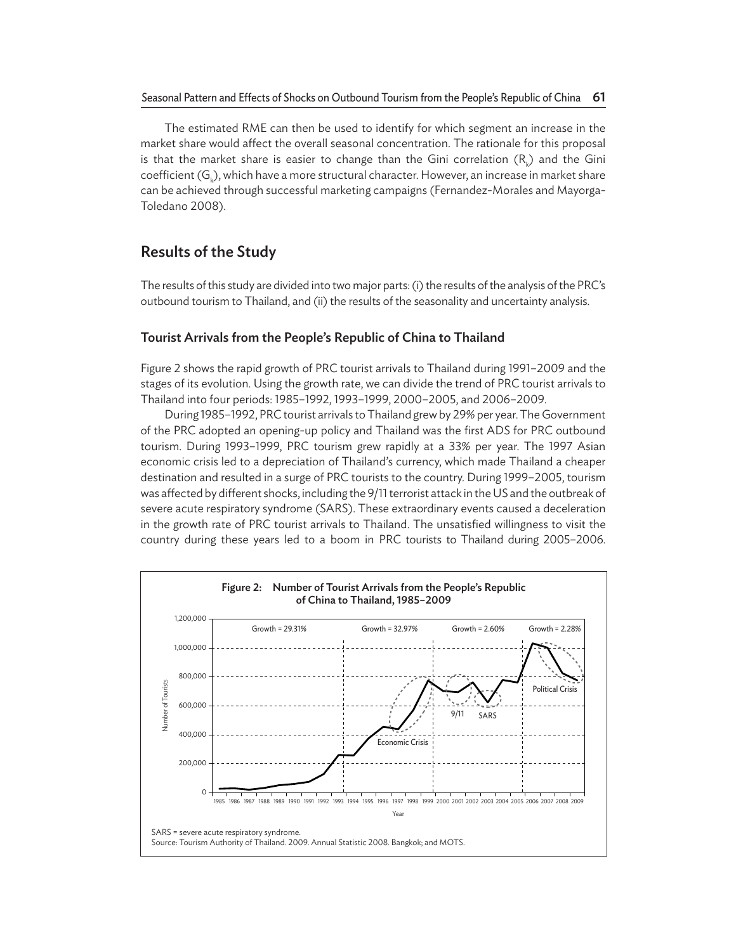The estimated RME can then be used to identify for which segment an increase in the market share would affect the overall seasonal concentration. The rationale for this proposal is that the market share is easier to change than the Gini correlation  $(\mathsf{R}_{_\mathsf{K}})$  and the Gini coefficient  $(\mathsf{G}_{\Bbbk})$ , which have a more structural character. However, an increase in market share can be achieved through successful marketing campaigns (Fernandez-Morales and Mayorga-Toledano 2008).

## Results of the Study

The results of this study are divided into two major parts: (i) the results of the analysis of the PRC's outbound tourism to Thailand, and (ii) the results of the seasonality and uncertainty analysis.

## Tourist Arrivals from the People's Republic of China to Thailand

Figure 2 shows the rapid growth of PRC tourist arrivals to Thailand during 1991–2009 and the stages of its evolution. Using the growth rate, we can divide the trend of PRC tourist arrivals to Thailand into four periods: 1985–1992, 1993–1999, 2000–2005, and 2006–2009.

During 1985–1992, PRC tourist arrivals to Thailand grew by 29% per year. The Government of the PRC adopted an opening-up policy and Thailand was the first ADS for PRC outbound tourism. During 1993–1999, PRC tourism grew rapidly at a 33% per year. The 1997 Asian economic crisis led to a depreciation of Thailand's currency, which made Thailand a cheaper destination and resulted in a surge of PRC tourists to the country. During 1999–2005, tourism was affected by different shocks, including the 9/11 terrorist attack in the US and the outbreak of severe acute respiratory syndrome (SARS). These extraordinary events caused a deceleration in the growth rate of PRC tourist arrivals to Thailand. The unsatisfied willingness to visit the country during these years led to a boom in PRC tourists to Thailand during 2005–2006.

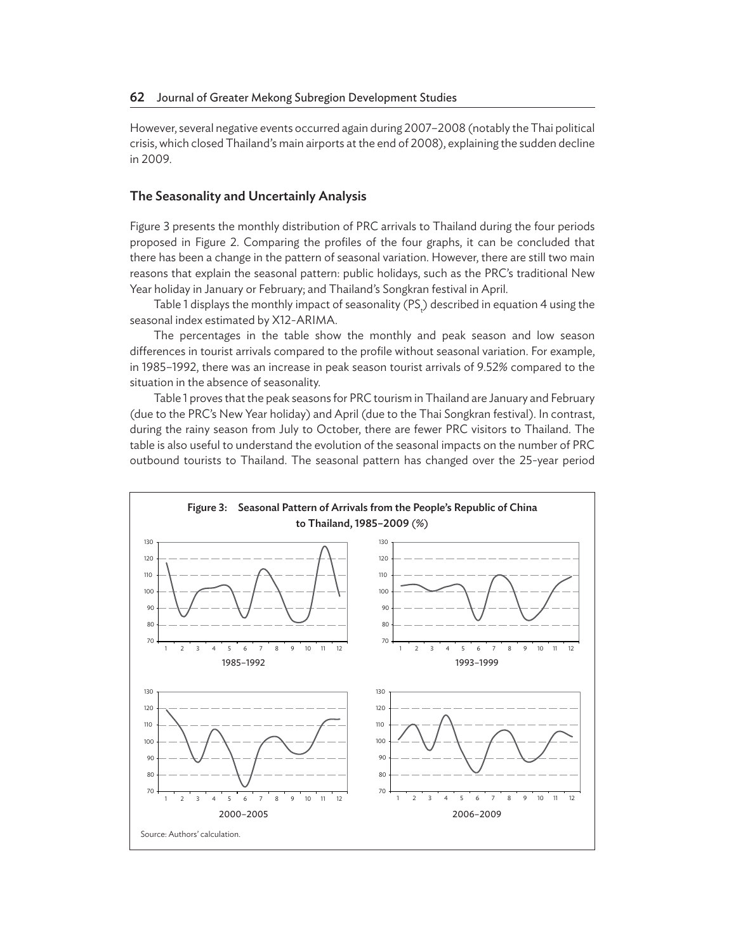However, several negative events occurred again during 2007–2008 (notably the Thai political crisis, which closed Thailand's main airports at the end of 2008), explaining the sudden decline in 2009.

### The Seasonality and Uncertainly Analysis

Figure 3 presents the monthly distribution of PRC arrivals to Thailand during the four periods proposed in Figure 2. Comparing the profiles of the four graphs, it can be concluded that there has been a change in the pattern of seasonal variation. However, there are still two main reasons that explain the seasonal pattern: public holidays, such as the PRC's traditional New Year holiday in January or February; and Thailand's Songkran festival in April.

Table 1 displays the monthly impact of seasonality (PS<sub>t</sub>) described in equation 4 using the seasonal index estimated by X12-ARIMA.

The percentages in the table show the monthly and peak season and low season differences in tourist arrivals compared to the profile without seasonal variation. For example, in 1985–1992, there was an increase in peak season tourist arrivals of 9.52% compared to the situation in the absence of seasonality.

Table 1 proves that the peak seasons for PRC tourism in Thailand are January and February (due to the PRC's New Year holiday) and April (due to the Thai Songkran festival). In contrast, during the rainy season from July to October, there are fewer PRC visitors to Thailand. The table is also useful to understand the evolution of the seasonal impacts on the number of PRC outbound tourists to Thailand. The seasonal pattern has changed over the 25-year period

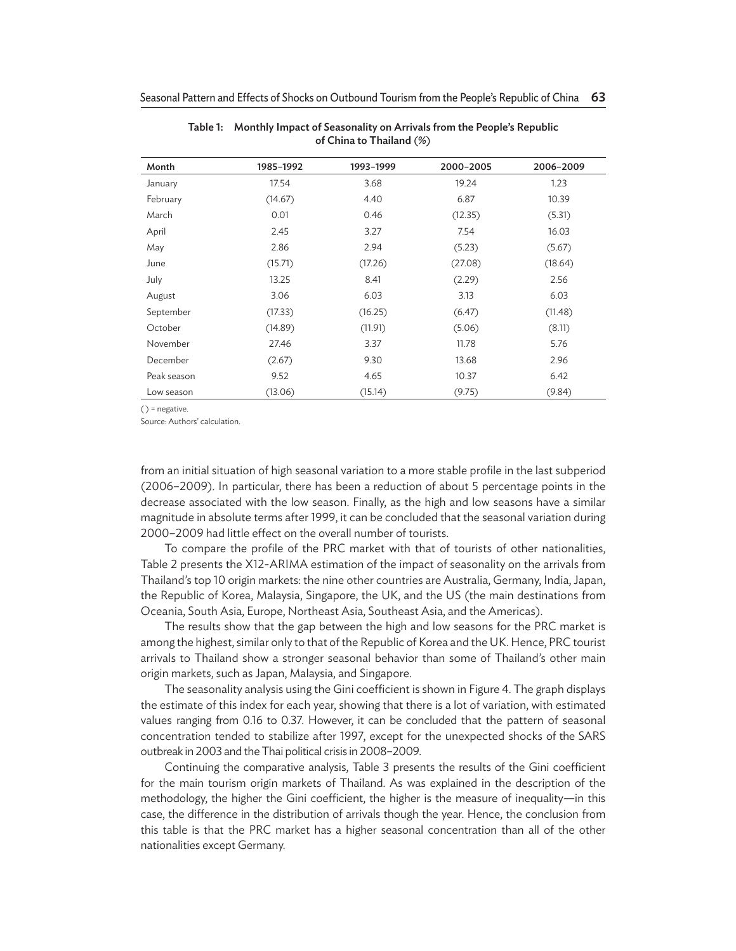| Month       | 1985-1992 | 1993-1999 | 2000-2005 | 2006-2009 |
|-------------|-----------|-----------|-----------|-----------|
| January     | 17.54     | 3.68      | 19.24     | 1.23      |
| February    | (14.67)   | 4.40      | 6.87      | 10.39     |
| March       | 0.01      | 0.46      | (12.35)   | (5.31)    |
| April       | 2.45      | 3.27      | 7.54      | 16.03     |
| May         | 2.86      | 2.94      | (5.23)    | (5.67)    |
| June        | (15.71)   | (17.26)   | (27.08)   | (18.64)   |
| July        | 13.25     | 8.41      | (2.29)    | 2.56      |
| August      | 3.06      | 6.03      | 3.13      | 6.03      |
| September   | (17.33)   | (16.25)   | (6.47)    | (11.48)   |
| October     | (14.89)   | (11.91)   | (5.06)    | (8.11)    |
| November    | 27.46     | 3.37      | 11.78     | 5.76      |
| December    | (2.67)    | 9.30      | 13.68     | 2.96      |
| Peak season | 9.52      | 4.65      | 10.37     | 6.42      |
| Low season  | (13.06)   | (15.14)   | (9.75)    | (9.84)    |

Table 1:
Monthly Impact of Seasonality on Arrivals from the People's Republic of China to Thailand (%)

 $()$  = negative.

Source: Authors' calculation.

from an initial situation of high seasonal variation to a more stable profile in the last subperiod (2006–2009). In particular, there has been a reduction of about 5 percentage points in the decrease associated with the low season. Finally, as the high and low seasons have a similar magnitude in absolute terms after 1999, it can be concluded that the seasonal variation during 2000–2009 had little effect on the overall number of tourists.

To compare the profile of the PRC market with that of tourists of other nationalities, Table 2 presents the X12-ARIMA estimation of the impact of seasonality on the arrivals from Thailand's top 10 origin markets: the nine other countries are Australia, Germany, India, Japan, the Republic of Korea, Malaysia, Singapore, the UK, and the US (the main destinations from Oceania, South Asia, Europe, Northeast Asia, Southeast Asia, and the Americas).

The results show that the gap between the high and low seasons for the PRC market is among the highest, similar only to that of the Republic of Korea and the UK. Hence, PRC tourist arrivals to Thailand show a stronger seasonal behavior than some of Thailand's other main origin markets, such as Japan, Malaysia, and Singapore.

The seasonality analysis using the Gini coefficient is shown in Figure 4. The graph displays the estimate of this index for each year, showing that there is a lot of variation, with estimated values ranging from 0.16 to 0.37. However, it can be concluded that the pattern of seasonal concentration tended to stabilize after 1997, except for the unexpected shocks of the SARS outbreak in 2003 and the Thai political crisis in 2008–2009.

Continuing the comparative analysis, Table 3 presents the results of the Gini coefficient for the main tourism origin markets of Thailand. As was explained in the description of the methodology, the higher the Gini coefficient, the higher is the measure of inequality—in this case, the difference in the distribution of arrivals though the year. Hence, the conclusion from this table is that the PRC market has a higher seasonal concentration than all of the other nationalities except Germany.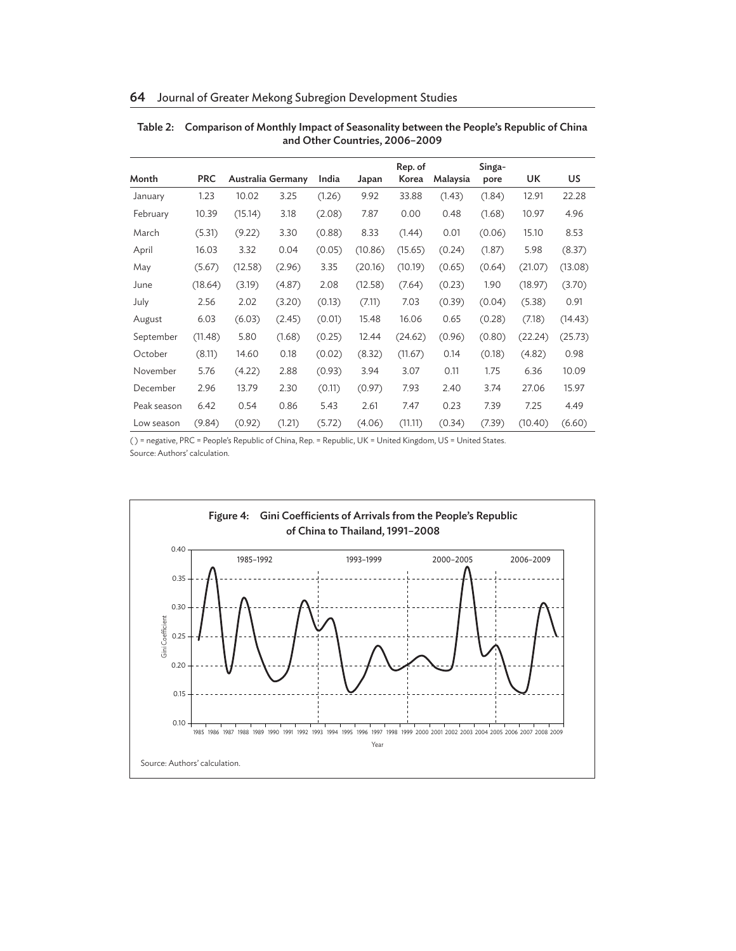| Month       | <b>PRC</b> |         | Australia Germany | India  | Japan   | Rep. of<br>Korea | Malaysia | Singa-<br>pore | UK      | US      |
|-------------|------------|---------|-------------------|--------|---------|------------------|----------|----------------|---------|---------|
| January     | 1.23       | 10.02   | 3.25              | (1.26) | 9.92    | 33.88            | (1.43)   | (1.84)         | 12.91   | 22.28   |
| February    | 10.39      | (15.14) | 3.18              | (2.08) | 7.87    | 0.00             | 0.48     | (1.68)         | 10.97   | 4.96    |
| March       | (5.31)     | (9.22)  | 3.30              | (0.88) | 8.33    | (1.44)           | 0.01     | (0.06)         | 15.10   | 8.53    |
| April       | 16.03      | 3.32    | 0.04              | (0.05) | (10.86) | (15.65)          | (0.24)   | (1.87)         | 5.98    | (8.37)  |
| May         | (5.67)     | (12.58) | (2.96)            | 3.35   | (20.16) | (10.19)          | (0.65)   | (0.64)         | (21.07) | (13.08) |
| June        | (18.64)    | (3.19)  | (4.87)            | 2.08   | (12.58) | (7.64)           | (0.23)   | 1.90           | (18.97) | (3.70)  |
| July        | 2.56       | 2.02    | (3.20)            | (0.13) | (7.11)  | 7.03             | (0.39)   | (0.04)         | (5.38)  | 0.91    |
| August      | 6.03       | (6.03)  | (2.45)            | (0.01) | 15.48   | 16.06            | 0.65     | (0.28)         | (7.18)  | (14.43) |
| September   | (11.48)    | 5.80    | (1.68)            | (0.25) | 12.44   | (24.62)          | (0.96)   | (0.80)         | (22.24) | (25.73) |
| October     | (8.11)     | 14.60   | 0.18              | (0.02) | (8.32)  | (11.67)          | 0.14     | (0.18)         | (4.82)  | 0.98    |
| November    | 5.76       | (4.22)  | 2.88              | (0.93) | 3.94    | 3.07             | 0.11     | 1.75           | 6.36    | 10.09   |
| December    | 2.96       | 13.79   | 2.30              | (0.11) | (0.97)  | 7.93             | 2.40     | 3.74           | 27.06   | 15.97   |
| Peak season | 6.42       | 0.54    | 0.86              | 5.43   | 2.61    | 7.47             | 0.23     | 7.39           | 7.25    | 4.49    |
| Low season  | (9.84)     | (0.92)  | (1.21)            | (5.72) | (4.06)  | (11.11)          | (0.34)   | (7.39)         | (10.40) | (6.60)  |

#### Table 2:
Comparison of Monthly Impact of Seasonality between the People's Republic of China and Other Countries, 2006–2009

( ) = negative, PRC = People's Republic of China, Rep. = Republic, UK = United Kingdom, US = United States. Source: Authors' calculation.

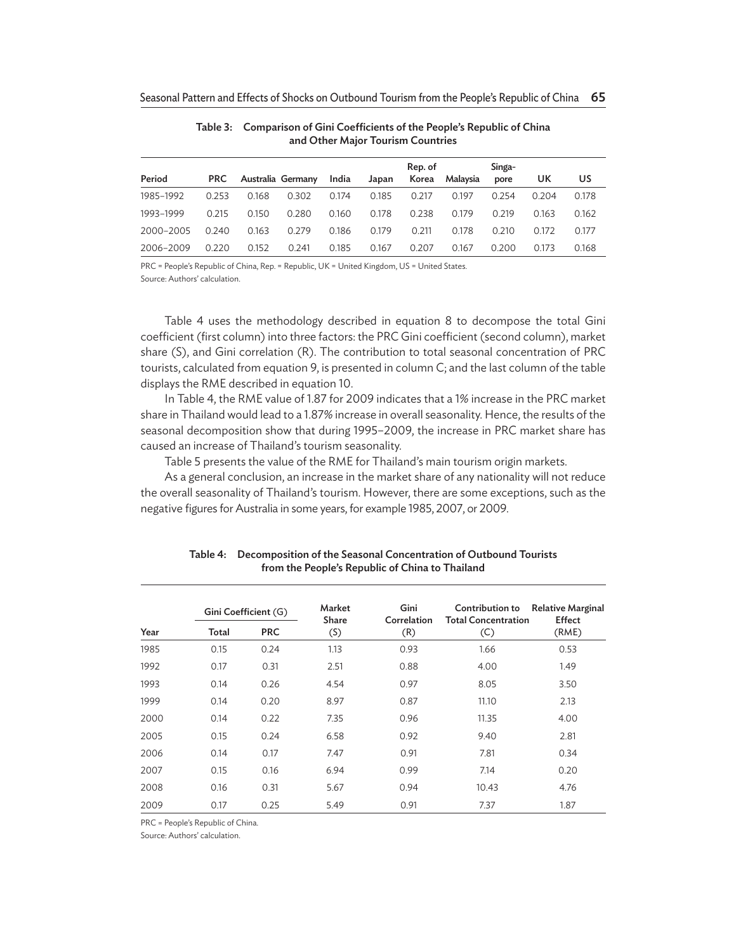|           |            |       |                   |       |       | Rep. of |          | Singa- |       |       |
|-----------|------------|-------|-------------------|-------|-------|---------|----------|--------|-------|-------|
| Period    | <b>PRC</b> |       | Australia Germany | India | Japan | Korea   | Malaysia | pore   | UΚ    | US    |
| 1985-1992 | 0.253      | 0.168 | 0.302             | 0.174 | 0.185 | 0.217   | 0.197    | 0.254  | 0.204 | 0.178 |
| 1993-1999 | 0.215      | 0.150 | 0.280             | 0.160 | 0.178 | 0.238   | 0.179    | 0.219  | 0.163 | 0.162 |
| 2000-2005 | 0.240      | 0.163 | 0.279             | 0.186 | 0.179 | 0.211   | 0.178    | 0.210  | 0.172 | 0.177 |
| 2006-2009 | 0.220      | 0.152 | 0.241             | 0.185 | 0.167 | 0.207   | 0.167    | 0.200  | 0.173 | 0.168 |

#### Table 3:
Comparison of Gini Coefficients of the People's Republic of China and Other Major Tourism Countries

PRC = People's Republic of China, Rep. = Republic, UK = United Kingdom, US = United States. Source: Authors' calculation.

Table 4 uses the methodology described in equation 8 to decompose the total Gini coefficient (first column) into three factors: the PRC Gini coefficient (second column), market share (S), and Gini correlation (R). The contribution to total seasonal concentration of PRC tourists, calculated from equation 9, is presented in column C; and the last column of the table displays the RME described in equation 10.

In Table 4, the RME value of 1.87 for 2009 indicates that a 1% increase in the PRC market share in Thailand would lead to a 1.87% increase in overall seasonality. Hence, the results of the seasonal decomposition show that during 1995–2009, the increase in PRC market share has caused an increase of Thailand's tourism seasonality.

Table 5 presents the value of the RME for Thailand's main tourism origin markets.

As a general conclusion, an increase in the market share of any nationality will not reduce the overall seasonality of Thailand's tourism. However, there are some exceptions, such as the negative figures for Australia in some years, for example 1985, 2007, or 2009.

|      |       | Gini Coefficient (G) | Market<br><b>Share</b>     | Gini<br>Correlation | Contribution to<br><b>Total Concentration</b> | <b>Relative Marginal</b><br><b>Effect</b><br>(RME) |  |
|------|-------|----------------------|----------------------------|---------------------|-----------------------------------------------|----------------------------------------------------|--|
| Year | Total | <b>PRC</b>           | $\left( \mathsf{S}\right)$ | (R)                 | (C)                                           |                                                    |  |
| 1985 | 0.15  | 0.24                 | 1.13                       | 0.93                | 1.66                                          | 0.53                                               |  |
| 1992 | 0.17  | 0.31                 | 2.51                       | 0.88                | 4.00                                          | 1.49                                               |  |
| 1993 | 0.14  | 0.26                 | 4.54                       | 0.97                | 8.05                                          | 3.50                                               |  |
| 1999 | 0.14  | 0.20                 | 8.97                       | 0.87                | 11.10                                         | 2.13                                               |  |
| 2000 | 0.14  | 0.22                 | 7.35                       | 0.96                | 11.35                                         | 4.00                                               |  |
| 2005 | 0.15  | 0.24                 | 6.58                       | 0.92                | 9.40                                          | 2.81                                               |  |
| 2006 | 0.14  | 0.17                 | 7.47                       | 0.91                | 7.81                                          | 0.34                                               |  |
| 2007 | 0.15  | 0.16                 | 6.94                       | 0.99                | 7.14                                          | 0.20                                               |  |
| 2008 | 0.16  | 0.31                 | 5.67                       | 0.94                | 10.43                                         | 4.76                                               |  |
| 2009 | 0.17  | 0.25                 | 5.49                       | 0.91                | 7.37                                          | 1.87                                               |  |

Table 4:
Decomposition of the Seasonal Concentration of Outbound Tourists from the People's Republic of China to Thailand

PRC = People's Republic of China.

Source: Authors' calculation.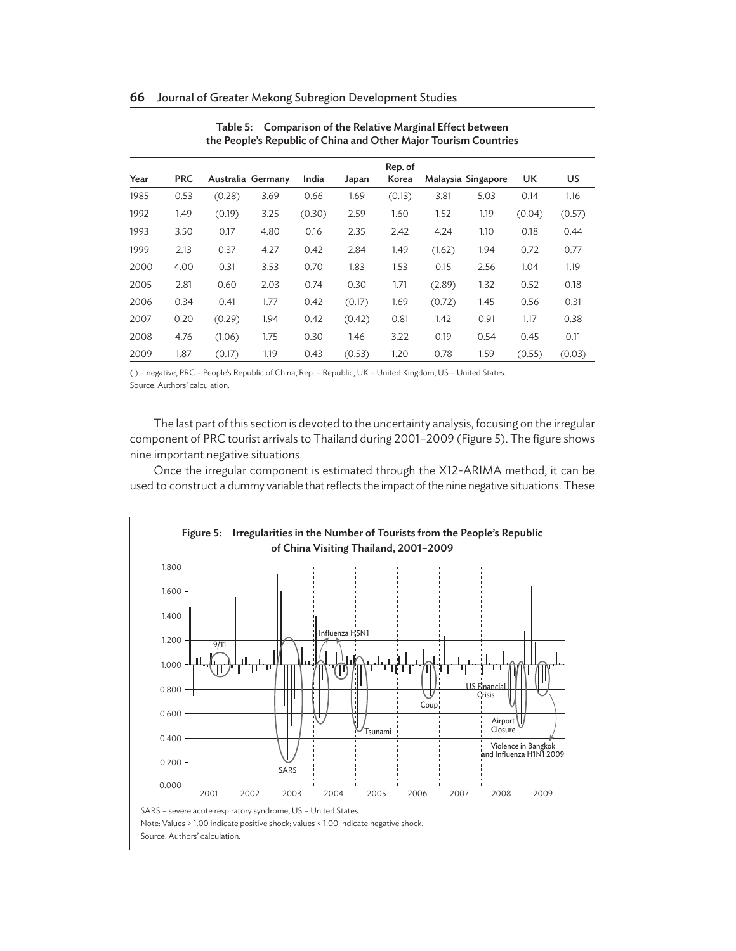| Year | <b>PRC</b> | Australia Germany |      | India  | Japan  | Rep. of<br>Korea |        | Malaysia Singapore | UK     | US     |
|------|------------|-------------------|------|--------|--------|------------------|--------|--------------------|--------|--------|
| 1985 | 0.53       | (0.28)            | 3.69 | 0.66   | 1.69   | (0.13)           | 3.81   | 5.03               | 0.14   | 1.16   |
| 1992 | 1.49       | (0.19)            | 3.25 | (0.30) | 2.59   | 1.60             | 1.52   | 1.19               | (0.04) | (0.57) |
| 1993 | 3.50       | 0.17              | 4.80 | 0.16   | 2.35   | 2.42             | 4.24   | 1.10               | 0.18   | 0.44   |
| 1999 | 2.13       | 0.37              | 4.27 | 0.42   | 2.84   | 1.49             | (1.62) | 1.94               | 0.72   | 0.77   |
| 2000 | 4.00       | 0.31              | 3.53 | 0.70   | 1.83   | 1.53             | 0.15   | 2.56               | 1.04   | 1.19   |
| 2005 | 2.81       | 0.60              | 2.03 | 0.74   | 0.30   | 1.71             | (2.89) | 1.32               | 0.52   | 0.18   |
| 2006 | 0.34       | 0.41              | 1.77 | 0.42   | (0.17) | 1.69             | (0.72) | 1.45               | 0.56   | 0.31   |
| 2007 | 0.20       | (0.29)            | 1.94 | 0.42   | (0.42) | 0.81             | 1.42   | 0.91               | 1.17   | 0.38   |
| 2008 | 4.76       | (1.06)            | 1.75 | 0.30   | 1.46   | 3.22             | 0.19   | 0.54               | 0.45   | 0.11   |
| 2009 | 1.87       | (0.17)            | 1.19 | 0.43   | (0.53) | 1.20             | 0.78   | 1.59               | (0.55) | (0.03) |

#### Table 5:
Comparison of the Relative Marginal Effect between the People's Republic of China and Other Major Tourism Countries

( ) = negative, PRC = People's Republic of China, Rep. = Republic, UK = United Kingdom, US = United States. Source: Authors' calculation.

The last part of this section is devoted to the uncertainty analysis, focusing on the irregular component of PRC tourist arrivals to Thailand during 2001–2009 (Figure 5). The figure shows nine important negative situations.

Once the irregular component is estimated through the X12-ARIMA method, it can be used to construct a dummy variable that reflects the impact of the nine negative situations. These

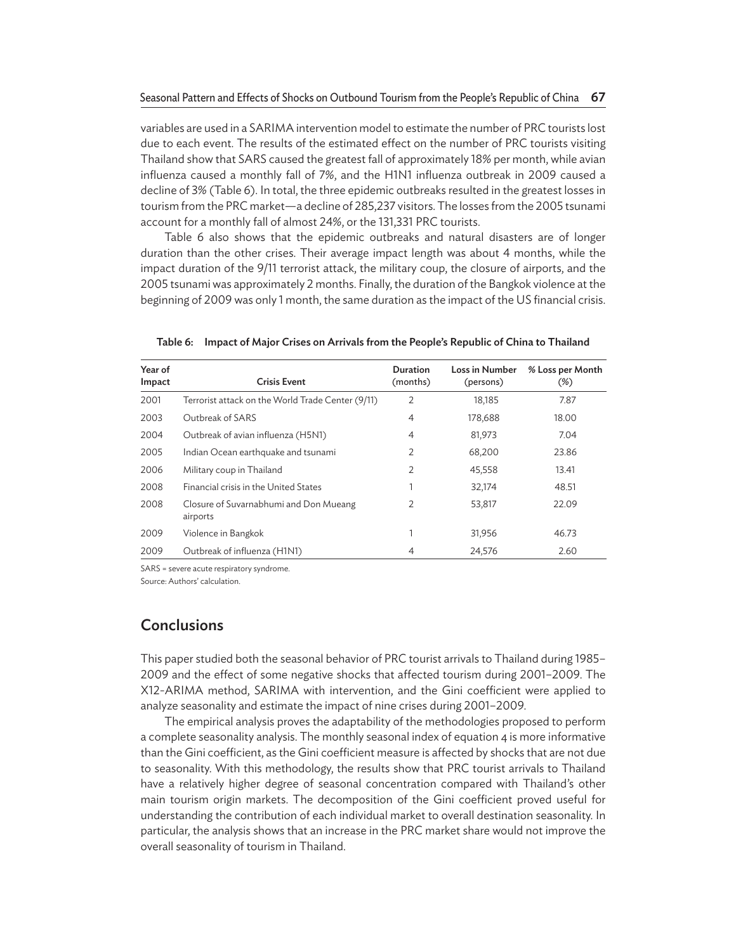variables are used in a SARIMA intervention model to estimate the number of PRC tourists lost due to each event. The results of the estimated effect on the number of PRC tourists visiting Thailand show that SARS caused the greatest fall of approximately 18% per month, while avian influenza caused a monthly fall of 7%, and the H1N1 influenza outbreak in 2009 caused a decline of 3% (Table 6). In total, the three epidemic outbreaks resulted in the greatest losses in tourism from the PRC market—a decline of 285,237 visitors. The losses from the 2005 tsunami account for a monthly fall of almost 24%, or the 131,331 PRC tourists.

Table 6 also shows that the epidemic outbreaks and natural disasters are of longer duration than the other crises. Their average impact length was about 4 months, while the impact duration of the 9/11 terrorist attack, the military coup, the closure of airports, and the 2005 tsunami was approximately 2 months. Finally, the duration of the Bangkok violence at the beginning of 2009 was only 1 month, the same duration as the impact of the US financial crisis.

| Year of<br>Impact | <b>Crisis Event</b>                                | Duration<br>(months) | Loss in Number<br>(persons) | % Loss per Month<br>$(\%)$ |
|-------------------|----------------------------------------------------|----------------------|-----------------------------|----------------------------|
| 2001              | Terrorist attack on the World Trade Center (9/11)  | 2                    | 18,185                      | 7.87                       |
| 2003              | Outbreak of SARS                                   | 4                    | 178,688                     | 18.00                      |
| 2004              | Outbreak of avian influenza (H5N1)                 | 4                    | 81,973                      | 7.04                       |
| 2005              | Indian Ocean earthquake and tsunami                | 2                    | 68,200                      | 23.86                      |
| 2006              | Military coup in Thailand                          | $\overline{2}$       | 45,558                      | 13.41                      |
| 2008              | Financial crisis in the United States              |                      | 32,174                      | 48.51                      |
| 2008              | Closure of Suvarnabhumi and Don Mueang<br>airports | $\overline{2}$       | 53,817                      | 22.09                      |
| 2009              | Violence in Bangkok                                |                      | 31,956                      | 46.73                      |
| 2009              | Outbreak of influenza (H1N1)                       | $\overline{4}$       | 24.576                      | 2.60                       |

Table 6:
Impact of Major Crises on Arrivals from the People's Republic of China to Thailand

SARS = severe acute respiratory syndrome.

Source: Authors' calculation.

# **Conclusions**

This paper studied both the seasonal behavior of PRC tourist arrivals to Thailand during 1985– 2009 and the effect of some negative shocks that affected tourism during 2001–2009. The X12-ARIMA method, SARIMA with intervention, and the Gini coefficient were applied to analyze seasonality and estimate the impact of nine crises during 2001–2009.

The empirical analysis proves the adaptability of the methodologies proposed to perform a complete seasonality analysis. The monthly seasonal index of equation 4 is more informative than the Gini coefficient, as the Gini coefficient measure is affected by shocks that are not due to seasonality. With this methodology, the results show that PRC tourist arrivals to Thailand have a relatively higher degree of seasonal concentration compared with Thailand's other main tourism origin markets. The decomposition of the Gini coefficient proved useful for understanding the contribution of each individual market to overall destination seasonality. In particular, the analysis shows that an increase in the PRC market share would not improve the overall seasonality of tourism in Thailand.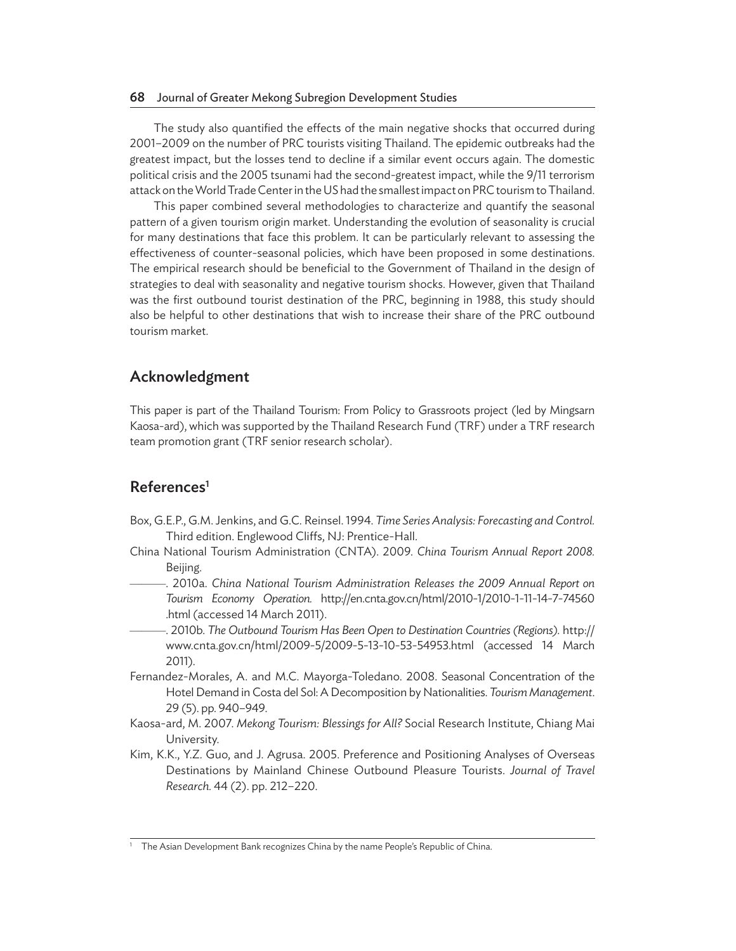The study also quantified the effects of the main negative shocks that occurred during 2001–2009 on the number of PRC tourists visiting Thailand. The epidemic outbreaks had the greatest impact, but the losses tend to decline if a similar event occurs again. The domestic political crisis and the 2005 tsunami had the second-greatest impact, while the 9/11 terrorism attack on the World Trade Center in the US had the smallest impact on PRC tourism to Thailand.

This paper combined several methodologies to characterize and quantify the seasonal pattern of a given tourism origin market. Understanding the evolution of seasonality is crucial for many destinations that face this problem. It can be particularly relevant to assessing the effectiveness of counter-seasonal policies, which have been proposed in some destinations. The empirical research should be beneficial to the Government of Thailand in the design of strategies to deal with seasonality and negative tourism shocks. However, given that Thailand was the first outbound tourist destination of the PRC, beginning in 1988, this study should also be helpful to other destinations that wish to increase their share of the PRC outbound tourism market.

# Acknowledgment

This paper is part of the Thailand Tourism: From Policy to Grassroots project (led by Mingsarn Kaosa-ard), which was supported by the Thailand Research Fund (TRF) under a TRF research team promotion grant (TRF senior research scholar).

# References<sup>1</sup>

- Box, G.E.P., G.M. Jenkins, and G.C. Reinsel. 1994. *Time Series Analysis: Forecasting and Control.* Third edition. Englewood Cliffs, NJ: Prentice-Hall.
- China National Tourism Administration (CNTA). 2009. *China Tourism Annual Report 2008.* Beijing.
- ———. 2010a. *China National Tourism Administration Releases the 2009 Annual Report on Tourism Economy Operation.* http://en.cnta.gov.cn/html/2010-1/2010-1-11-14-7-74560 .html (accessed 14 March 2011).
- ———. 2010b. *The Outbound Tourism Has Been Open to Destination Countries (Regions).* http:// www.cnta.gov.cn/html/2009-5/2009-5-13-10-53-54953.html (accessed 14 March 2011).
- Fernandez-Morales, A. and M.C. Mayorga-Toledano. 2008. Seasonal Concentration of the Hotel Demand in Costa del Sol: A Decomposition by Nationalities. *Tourism Management*. 29 (5). pp. 940–949.
- Kaosa-ard, M. 2007. *Mekong Tourism: Blessings for All?* Social Research Institute, Chiang Mai University.
- Kim, K.K., Y.Z. Guo, and J. Agrusa. 2005. Preference and Positioning Analyses of Overseas Destinations by Mainland Chinese Outbound Pleasure Tourists. *Journal of Travel Research.* 44 (2). pp. 212–220.

<sup>1</sup> The Asian Development Bank recognizes China by the name People's Republic of China.